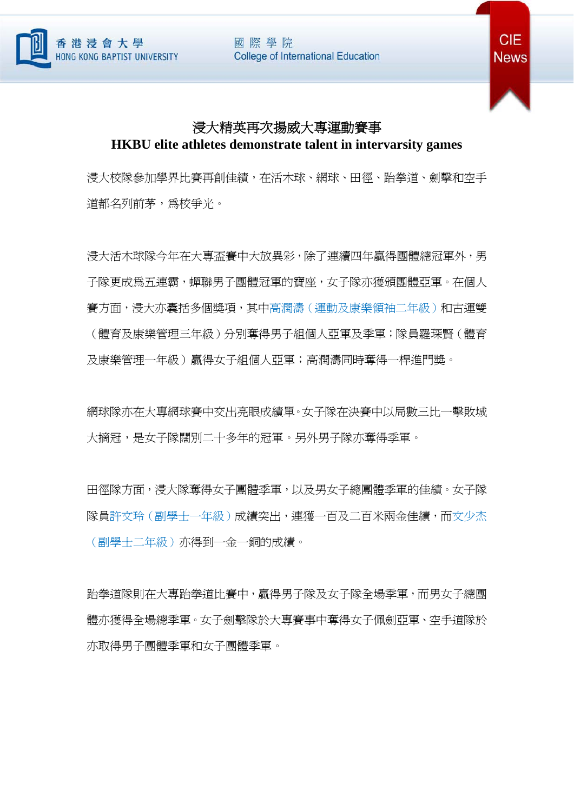國際學院 **College of International Education** 





## 浸大精英再次揚威大專運動賽事 **HKBU elite athletes demonstrate talent in intervarsity games**

浸大校隊參加學界比賽再創佳績,在活木球、網球、田徑、跆拳道、劍擊和空手 道都名列前茅,為校爭光。

浸大活木球隊今年在大專盃賽中大放異彩,除了連續四年贏得團體總冠軍外,男 子隊更成為五連霸,蟬聯男子團體冠軍的寶座,女子隊亦獲頒團體亞軍。在個人 賽方面,浸大亦囊括多個獎項,其中高潤濤(運動及康樂領袖二年級)和古運雙 (體育及康樂管理三年級)分別奪得男子組個人亞軍及季軍;隊員羅琛賢(體育 及康樂管理一年級)贏得女子組個人亞軍;高潤濤同時奪得一桿進門獎。

網球隊亦在大專網球賽中交出亮眼成績單。女子隊在決賽中以局數三比一擊敗城 大摘冠,是女子隊闊別二十多年的冠軍。另外男子隊亦奪得季軍。

田徑隊方面,浸大隊奪得女子團體季軍,以及男女子總團體季軍的佳績。女子隊 隊員許文玲(副學士一年級)成績突出,連獲一百及二百米兩金佳績,而文少杰 (副學士二年級)亦得到一金一銅的成績。

跆拳道隊則在大專跆拳道比賽中,贏得男子隊及女子隊全場季軍,而男女子總團 體亦獲得全場總季軍。女子劍擊隊於大專賽事中奪得女子佩劍亞軍、空手道隊於 亦取得男子團體季軍和女子團體季軍。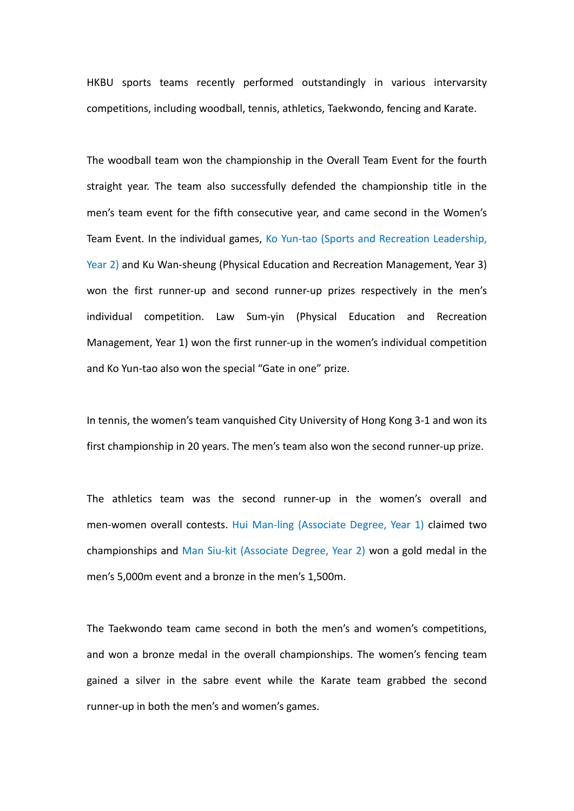HKBU sports teams recently performed outstandingly in various intervarsity competitions, including woodball, tennis, athletics, Taekwondo, fencing and Karate.

The woodball team won the championship in the Overall Team Event for the fourth straight year. The team also successfully defended the championship title in the men's team event for the fifth consecutive year, and came second in the Women's Team Event. In the individual games, Ko Yun-tao (Sports and Recreation Leadership, Year 2) and Ku Wan‐sheung (Physical Education and Recreation Management, Year 3) won the first runner-up and second runner-up prizes respectively in the men's individual competition. Law Sum‐yin (Physical Education and Recreation Management, Year 1) won the first runner‐up in the women's individual competition and Ko Yun-tao also won the special "Gate in one" prize.

In tennis, the women's team vanquished City University of Hong Kong 3‐1 and won its first championship in 20 years. The men's team also won the second runner‐up prize.

The athletics team was the second runner‐up in the women's overall and men-women overall contests. Hui Man-ling (Associate Degree, Year 1) claimed two championships and Man Siu‐kit (Associate Degree, Year 2) won a gold medal in the men's 5,000m event and a bronze in the men's 1,500m.

The Taekwondo team came second in both the men's and women's competitions, and won a bronze medal in the overall championships. The women's fencing team gained a silver in the sabre event while the Karate team grabbed the second runner‐up in both the men's and women's games.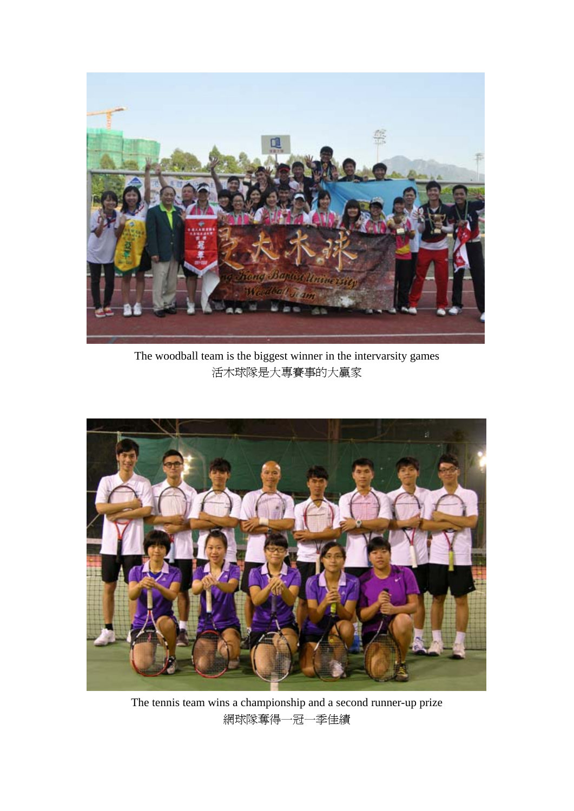

The woodball team is the biggest winner in the intervarsity games 活木球隊是大專賽事的大贏家



The tennis team wins a championship and a second runner-up prize 網球隊奪得一冠一季佳績